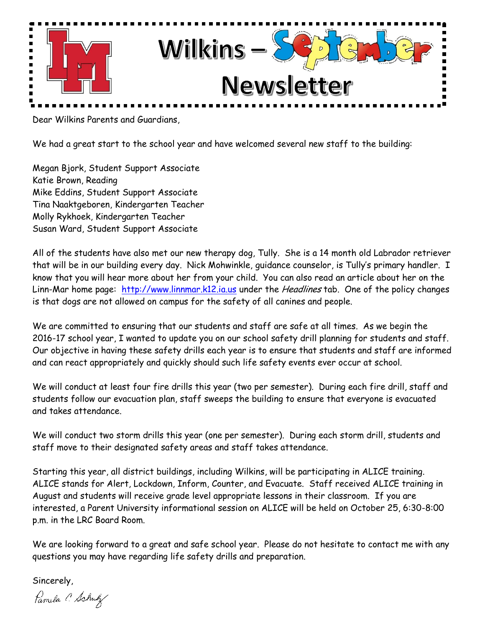

Dear Wilkins Parents and Guardians,

We had a great start to the school year and have welcomed several new staff to the building:

Megan Bjork, Student Support Associate Katie Brown, Reading Mike Eddins, Student Support Associate Tina Naaktgeboren, Kindergarten Teacher Molly Rykhoek, Kindergarten Teacher Susan Ward, Student Support Associate

All of the students have also met our new therapy dog, Tully. She is a 14 month old Labrador retriever that will be in our building every day. Nick Mohwinkle, guidance counselor, is Tully's primary handler. I know that you will hear more about her from your child. You can also read an article about her on the Linn-Mar home page: [http://www.linnmar.k12.ia.us](http://www.linnmar.k12.ia.us/) under the *Headlines* tab. One of the policy changes is that dogs are not allowed on campus for the safety of all canines and people.

We are committed to ensuring that our students and staff are safe at all times. As we begin the 2016-17 school year, I wanted to update you on our school safety drill planning for students and staff. Our objective in having these safety drills each year is to ensure that students and staff are informed and can react appropriately and quickly should such life safety events ever occur at school.

We will conduct at least four fire drills this year (two per semester). During each fire drill, staff and students follow our evacuation plan, staff sweeps the building to ensure that everyone is evacuated and takes attendance.

We will conduct two storm drills this year (one per semester). During each storm drill, students and staff move to their designated safety areas and staff takes attendance.

Starting this year, all district buildings, including Wilkins, will be participating in ALICE training. ALICE stands for Alert, Lockdown, Inform, Counter, and Evacuate. Staff received ALICE training in August and students will receive grade level appropriate lessons in their classroom. If you are interested, a Parent University informational session on ALICE will be held on October 25, 6:30-8:00 p.m. in the LRC Board Room.

We are looking forward to a great and safe school year. Please do not hesitate to contact me with any questions you may have regarding life safety drills and preparation.

Sincerely,

Pamela C. Schulz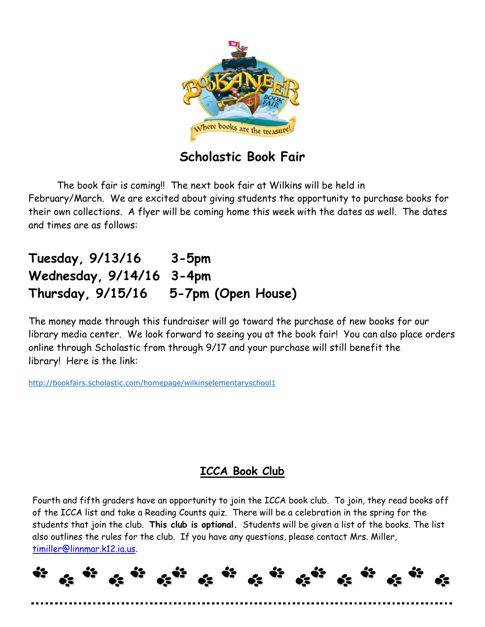

## **Scholastic Book Fair**

The book fair is coming!! The next book fair at Wilkins will be held in February/March. We are excited about giving students the opportunity to purchase books for their own collections. A flyer will be coming home this week with the dates as well. The dates and times are as follows:

# **Tuesday, 9/13/16 3-5pm Wednesday, 9/14/16 3-4pm Thursday, 9/15/16 5-7pm (Open House)**

The money made through this fundraiser will go toward the purchase of new books for our library media center. We look forward to seeing you at the book fair! You can also place orders online through Scholastic from through 9/17 and your purchase will still benefit the library! Here is the link:

<http://bookfairs.scholastic.com/homepage/wilkinselementaryschool1>

## **ICCA Book Club**

Fourth and fifth graders have an opportunity to join the ICCA book club. To join, they read books off of the ICCA list and take a Reading Counts quiz. There will be a celebration in the spring for the students that join the club. **This club is optional.** Students will be given a list of the books. The list also outlines the rules for the club. If you have any questions, please contact Mrs. Miller, [timiller@linnmar.k12.ia.us.](mailto:timiller@linnmar.k12.ia.us)

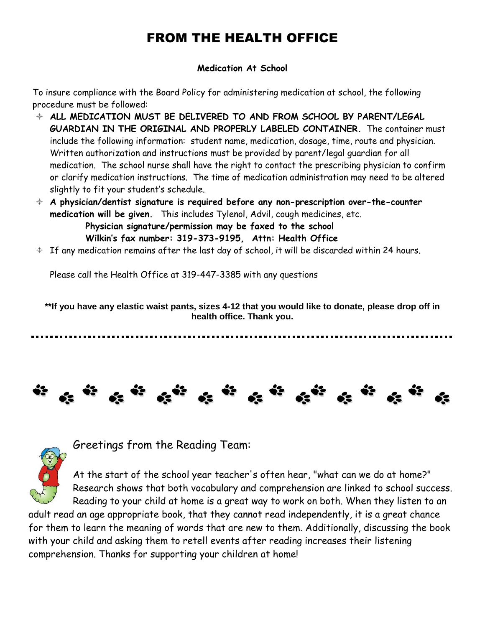# FROM THE HEALTH OFFICE

## **Medication At School**

To insure compliance with the Board Policy for administering medication at school, the following procedure must be followed:

- **ALL MEDICATION MUST BE DELIVERED TO AND FROM SCHOOL BY PARENT/LEGAL GUARDIAN IN THE ORIGINAL AND PROPERLY LABELED CONTAINER.** The container must include the following information: student name, medication, dosage, time, route and physician. Written authorization and instructions must be provided by parent/legal guardian for all medication. The school nurse shall have the right to contact the prescribing physician to confirm or clarify medication instructions. The time of medication administration may need to be altered slightly to fit your student's schedule.
- **A physician/dentist signature is required before any non-prescription over-the-counter medication will be given.** This includes Tylenol, Advil, cough medicines, etc.  **Physician signature/permission may be faxed to the school Wilkin's fax number: 319-373-9195, Attn: Health Office**
- $\div$  If any medication remains after the last day of school, it will be discarded within 24 hours.

Please call the Health Office at 319-447-3385 with any questions

**\*\*If you have any elastic waist pants, sizes 4-12 that you would like to donate, please drop off in health office. Thank you.**





Greetings from the Reading Team:

At the start of the school year teacher's often hear, "what can we do at home?" Research shows that both vocabulary and comprehension are linked to school success. Reading to your child at home is a great way to work on both. When they listen to an

adult read an age appropriate book, that they cannot read independently, it is a great chance for them to learn the meaning of words that are new to them. Additionally, discussing the book with your child and asking them to retell events after reading increases their listening comprehension. Thanks for supporting your children at home!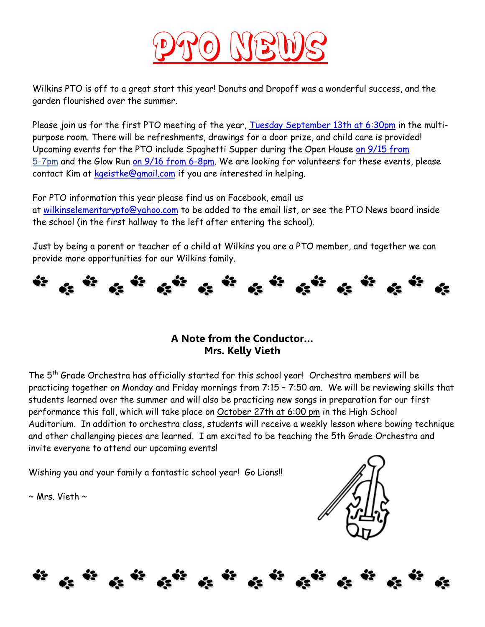

Wilkins PTO is off to a great start this year! Donuts and Dropoff was a wonderful success, and the garden flourished over the summer.

Please join us for the first PTO meeting of the year, [Tuesday September 13th at 6:30pm](x-apple-data-detectors://0/) in the multipurpose room. There will be refreshments, drawings for a door prize, and child care is provided! Upcoming events for the PTO include Spaghetti Supper during the Open House [on 9/15 from](x-apple-data-detectors://1/) [5-7pm](x-apple-data-detectors://1/) and the Glow Run [on 9/16 from 6-8pm.](x-apple-data-detectors://2/) We are looking for volunteers for these events, please contact Kim at [kgeistke@gmail.com](mailto:kgeistke@gmail.com) if you are interested in helping.

For PTO information this year please find us on Facebook, email us at [wilkinselementarypto@yahoo.com](mailto:wilkinselementarypto@yahoo.com) to be added to the email list, or see the PTO News board inside the school (in the first hallway to the left after entering the school).

Just by being a parent or teacher of a child at Wilkins you are a PTO member, and together we can provide more opportunities for our Wilkins family.



## **A Note from the Conductor… Mrs. Kelly Vieth**

The 5th Grade Orchestra has officially started for this school year! Orchestra members will be practicing together on Monday and Friday mornings from 7:15 – 7:50 am. We will be reviewing skills that students learned over the summer and will also be practicing new songs in preparation for our first performance this fall, which will take place on October 27th at 6:00 pm in the High School Auditorium. In addition to orchestra class, students will receive a weekly lesson where bowing technique and other challenging pieces are learned. I am excited to be teaching the 5th Grade Orchestra and invite everyone to attend our upcoming events!

Wishing you and your family a fantastic school year! Go Lions!!

 $\sim$  Mrs. Vieth  $\sim$ 

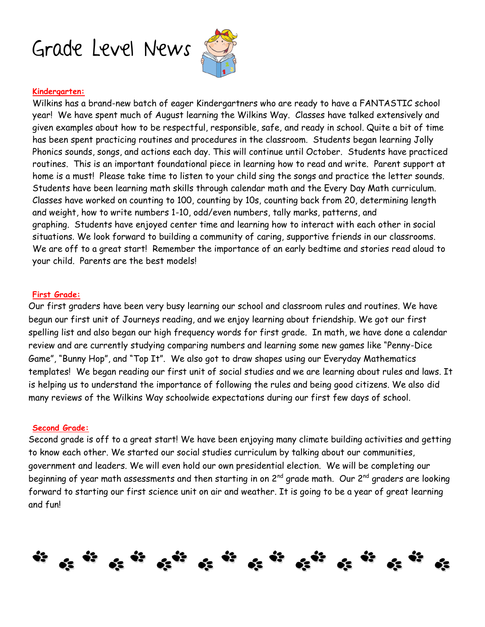



#### **Kindergarten:**

Wilkins has a brand-new batch of eager Kindergartners who are ready to have a FANTASTIC school year! We have spent much of August learning the Wilkins Way. Classes have talked extensively and given examples about how to be respectful, responsible, safe, and ready in school. Quite a bit of time has been spent practicing routines and procedures in the classroom. Students began learning Jolly Phonics sounds, songs, and actions each day. This will continue until October. Students have practiced routines. This is an important foundational piece in learning how to read and write. Parent support at home is a must! Please take time to listen to your child sing the songs and practice the letter sounds. Students have been learning math skills through calendar math and the Every Day Math curriculum. Classes have worked on counting to 100, counting by 10s, counting back from 20, determining length and weight, how to write numbers 1-10, odd/even numbers, tally marks, patterns, and graphing. Students have enjoyed center time and learning how to interact with each other in social situations. We look forward to building a community of caring, supportive friends in our classrooms. We are off to a great start! Remember the importance of an early bedtime and stories read aloud to your child. Parents are the best models!

#### **First Grade:**

Our first graders have been very busy learning our school and classroom rules and routines. We have begun our first unit of Journeys reading, and we enjoy learning about friendship. We got our first spelling list and also began our high frequency words for first grade. In math, we have done a calendar review and are currently studying comparing numbers and learning some new games like "Penny-Dice Game", "Bunny Hop", and "Top It". We also got to draw shapes using our Everyday Mathematics templates! We began reading our first unit of social studies and we are learning about rules and laws. It is helping us to understand the importance of following the rules and being good citizens. We also did many reviews of the Wilkins Way schoolwide expectations during our first few days of school.

#### **Second Grade:**

Second grade is off to a great start! We have been enjoying many climate building activities and getting to know each other. We started our social studies curriculum by talking about our communities, government and leaders. We will even hold our own presidential election. We will be completing our beginning of year math assessments and then starting in on 2<sup>nd</sup> grade math. Our 2<sup>nd</sup> graders are looking forward to starting our first science unit on air and weather. It is going to be a year of great learning and fun!

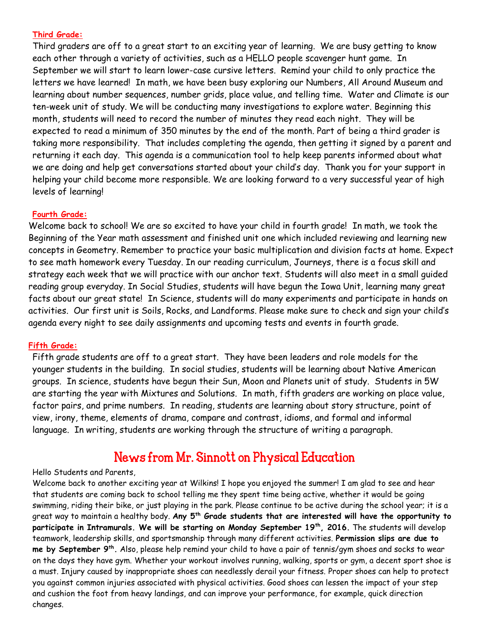### **Third Grade:**

Third graders are off to a great start to an exciting year of learning. We are busy getting to know each other through a variety of activities, such as a HELLO people scavenger hunt game. In September we will start to learn lower-case cursive letters. Remind your child to only practice the letters we have learned! In math, we have been busy exploring our Numbers, All Around Museum and learning about number sequences, number grids, place value, and telling time. Water and Climate is our ten-week unit of study. We will be conducting many investigations to explore water. Beginning this month, students will need to record the number of minutes they read each night. They will be expected to read a minimum of 350 minutes by the end of the month. Part of being a third grader is taking more responsibility. That includes completing the agenda, then getting it signed by a parent and returning it each day. This agenda is a communication tool to help keep parents informed about what we are doing and help get conversations started about your child's day. Thank you for your support in helping your child become more responsible. We are looking forward to a very successful year of high levels of learning!

### **Fourth Grade:**

Welcome back to school! We are so excited to have your child in fourth grade! In math, we took the Beginning of the Year math assessment and finished unit one which included reviewing and learning new concepts in Geometry. Remember to practice your basic multiplication and division facts at home. Expect to see math homework every Tuesday. In our reading curriculum, Journeys, there is a focus skill and strategy each week that we will practice with our anchor text. Students will also meet in a small guided reading group everyday. In Social Studies, students will have begun the Iowa Unit, learning many great facts about our great state! In Science, students will do many experiments and participate in hands on activities. Our first unit is Soils, Rocks, and Landforms. Please make sure to check and sign your child's agenda every night to see daily assignments and upcoming tests and events in fourth grade.

## **Fifth Grade:**

Fifth grade students are off to a great start. They have been leaders and role models for the younger students in the building. In social studies, students will be learning about Native American groups. In science, students have begun their Sun, Moon and Planets unit of study. Students in 5W are starting the year with Mixtures and Solutions. In math, fifth graders are working on place value, factor pairs, and prime numbers. In reading, students are learning about story structure, point of view, irony, theme, elements of drama, compare and contrast, idioms, and formal and informal language. In writing, students are working through the structure of writing a paragraph.

## News from Mr. Sinnott on Physical Education

#### Hello Students and Parents,

Welcome back to another exciting year at Wilkins! I hope you enjoyed the summer! I am glad to see and hear that students are coming back to school telling me they spent time being active, whether it would be going swimming, riding their bike, or just playing in the park. Please continue to be active during the school year; it is a great way to maintain a healthy body. **Any 5th Grade students that are interested will have the opportunity to participate in Intramurals. We will be starting on Monday September 19 th, 2016.** The students will develop teamwork, leadership skills, and sportsmanship through many different activities. **Permission slips are due to me by September 9th .** Also, please help remind your child to have a pair of tennis/gym shoes and socks to wear on the days they have gym. Whether your workout involves running, walking, sports or gym, a decent sport shoe is a must. Injury caused by inappropriate shoes can needlessly derail your fitness. Proper shoes can help to protect you against common injuries associated with physical activities. Good shoes can lessen the impact of your step and cushion the foot from heavy landings, and can improve your performance, for example, quick direction changes.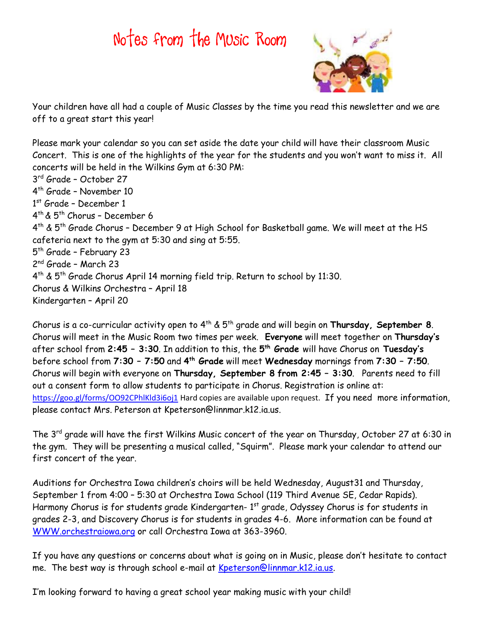# Notes from the Music Room



Your children have all had a couple of Music Classes by the time you read this newsletter and we are off to a great start this year!

Please mark your calendar so you can set aside the date your child will have their classroom Music Concert. This is one of the highlights of the year for the students and you won't want to miss it. All concerts will be held in the Wilkins Gym at 6:30 PM: 3 rd Grade – October 27 4 th Grade – November 10 1st Grade - December 1 4 th & 5th Chorus – December 6 4 th & 5th Grade Chorus – December 9 at High School for Basketball game. We will meet at the HS cafeteria next to the gym at 5:30 and sing at 5:55. 5<sup>th</sup> Grade – February 23 2<sup>nd</sup> Grade - March 23 4 th & 5th Grade Chorus April 14 morning field trip. Return to school by 11:30. Chorus & Wilkins Orchestra – April 18 Kindergarten – April 20

Chorus is a co-curricular activity open to 4th & 5th grade and will begin on **Thursday, September 8**. Chorus will meet in the Music Room two times per week. **Everyone** will meet together on **Thursday's** after school from **2:45 – 3:30**. In addition to this, the **5 th Grade** will have Chorus on **Tuesday's** before school from **7:30 – 7:50** and **4 th Grade** will meet **Wednesday** mornings from **7:30 – 7:50**. Chorus will begin with everyone on **Thursday, September 8 from 2:45 – 3:30**. Parents need to fill out a consent form to allow students to participate in Chorus. Registration is online at: <https://goo.gl/forms/OO92CPhlKld3i6oj1></u> Hard copies are available upon request. If you need more information, please contact Mrs. Peterson at Kpeterson@linnmar.k12.ia.us.

The 3rd grade will have the first Wilkins Music concert of the year on Thursday, October 27 at 6:30 in the gym. They will be presenting a musical called, "Squirm". Please mark your calendar to attend our first concert of the year.

Auditions for Orchestra Iowa children's choirs will be held Wednesday, August31 and Thursday, September 1 from 4:00 – 5:30 at Orchestra Iowa School (119 Third Avenue SE, Cedar Rapids). Harmony Chorus is for students grade Kindergarten- 1st grade, Odyssey Chorus is for students in grades 2-3, and Discovery Chorus is for students in grades 4-6. More information can be found at [WWW.orchestraiowa.org](http://www.orchestraiowa.org/) or call Orchestra Iowa at 363-3960.

If you have any questions or concerns about what is going on in Music, please don't hesitate to contact me. The best way is through school e-mail at [Kpeterson@linnmar.k12.ia.us.](mailto:Kpeterson@linnmar.k12.ia.us)

I'm looking forward to having a great school year making music with your child!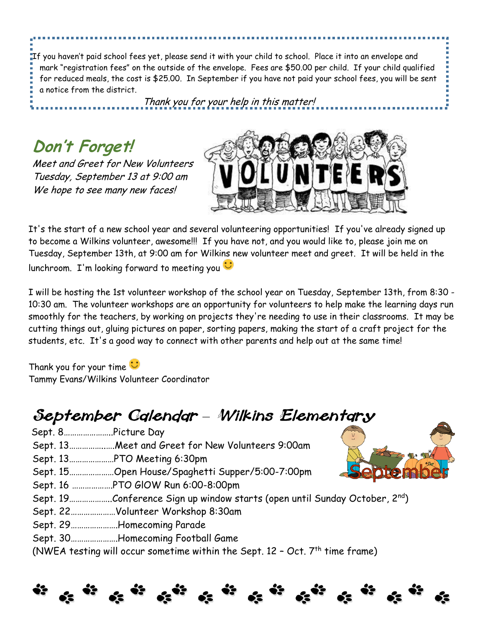If you haven't paid school fees yet, please send it with your child to school. Place it into an envelope and mark "registration fees" on the outside of the envelope. Fees are \$50.00 per child. If your child qualified for reduced meals, the cost is \$25.00. In September if you have not paid your school fees, you will be sent a notice from the district.

Thank you for your help in this matter!

**Don't Forget!**

l

Meet and Greet for New Volunteers Tuesday, September 13 at 9:00 am We hope to see many new faces!



It's the start of a new school year and several volunteering opportunities! If you've already signed up to become a Wilkins volunteer, awesome!!! If you have not, and you would like to, please join me on Tuesday, September 13th, at 9:00 am for Wilkins new volunteer meet and greet. It will be held in the lunchroom. I'm looking forward to meeting you

I will be hosting the 1st volunteer workshop of the school year on Tuesday, September 13th, from 8:30 - 10:30 am. The volunteer workshops are an opportunity for volunteers to help make the learning days run smoothly for the teachers, by working on projects they're needing to use in their classrooms. It may be cutting things out, gluing pictures on paper, sorting papers, making the start of a craft project for the students, etc. It's a good way to connect with other parents and help out at the same time!

Thank you for your time  $\ddot{\mathbf{u}}$ Tammy Evans/Wilkins Volunteer Coordinator

# September Calendar - Wilkins Elementary

- Sept. 8…………………..Picture Day
- Sept. 13……………..….Meet and Greet for New Volunteers 9:00am
- Sept. 13…………………PTO Meeting 6:30pm
- Sept. 15…………………Open House/Spaghetti Supper/5:00-7:00pm
- Sept. 16 ……………….PTO GlOW Run 6:00-8:00pm
- Sept. 19………………..Conference Sign up window starts (open until Sunday October, 2<sup>nd</sup>)
- Sept. 22…………………Volunteer Workshop 8:30am
- Sept. 29………………….Homecoming Parade
- Sept. 30………………….Homecoming Football Game
- (NWEA testing will occur sometime within the Sept.  $12$  Oct.  $7<sup>th</sup>$  time frame)